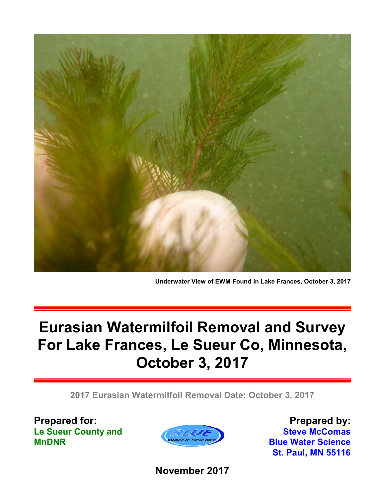

**Underwater View of EWM Found in Lake Frances, October 3, 2017**

# **Eurasian Watermilfoil Removal and Survey For Lake Frances, Le Sueur Co, Minnesota, October 3, 2017**

**2017 Eurasian Watermilfoil Removal Date: October 3, 2017**

**Prepared for: Le Sueur County and MnDNR**



**Prepared by: Steve McComas Blue Water Science St. Paul, MN 55116**

**November 2017**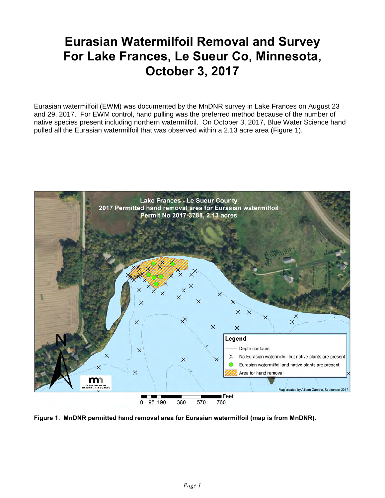## **Eurasian Watermilfoil Removal and Survey For Lake Frances, Le Sueur Co, Minnesota, October 3, 2017**

Eurasian watermilfoil (EWM) was documented by the MnDNR survey in Lake Frances on August 23 and 29, 2017. For EWM control, hand pulling was the preferred method because of the number of native species present including northern watermilfoil. On October 3, 2017, Blue Water Science hand pulled all the Eurasian watermilfoil that was observed within a 2.13 acre area (Figure 1).



**Figure 1. MnDNR permitted hand removal area for Eurasian watermilfoil (map is from MnDNR).**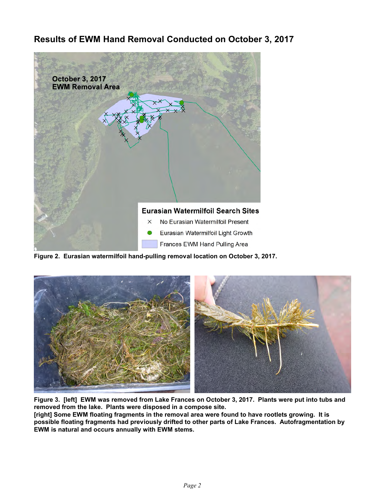### **Results of EWM Hand Removal Conducted on October 3, 2017**



**Figure 2. Eurasian watermilfoil hand-pulling removal location on October 3, 2017.** 



**Figure 3. [left] EWM was removed from Lake Frances on October 3, 2017. Plants were put into tubs and removed from the lake. Plants were disposed in a compose site. [right] Some EWM floating fragments in the removal area were found to have rootlets growing. It is**

**possible floating fragments had previously drifted to other parts of Lake Frances. Autofragmentation by EWM is natural and occurs annually with EWM stems.**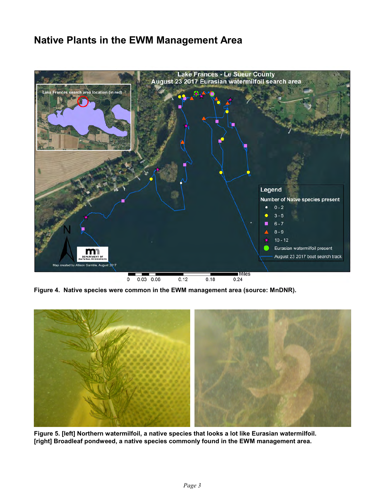## **Native Plants in the EWM Management Area**



**Figure 4. Native species were common in the EWM management area (source: MnDNR).**



**Figure 5. [left] Northern watermilfoil, a native species that looks a lot like Eurasian watermilfoil. [right] Broadleaf pondweed, a native species commonly found in the EWM management area.**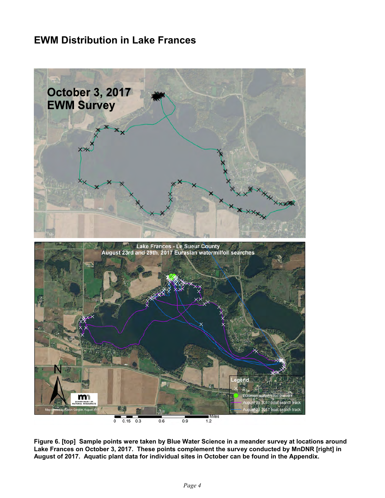## **EWM Distribution in Lake Frances**



**Figure 6. [top] Sample points were taken by Blue Water Science in a meander survey at locations around Lake Frances on October 3, 2017. These points complement the survey conducted by MnDNR [right] in August of 2017. Aquatic plant data for individual sites in October can be found in the Appendix.**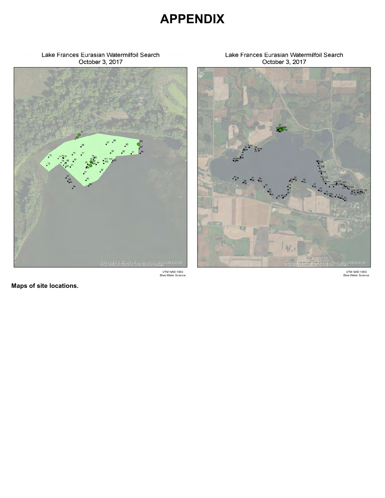## **APPENDIX**

#### Lake Frances Eurasian Watermilfoil Search October 3, 2017



#### Lake Frances Eurasian Watermilfoil Search October 3, 2017



UTM NAD 1983<br>Blue Water Science

**Maps of site locations.**

UTM NAD 1983<br>Blue Water Science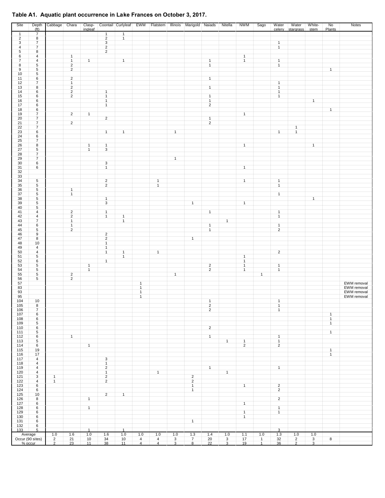#### **Table A1. Aquatic plant occurrence in Lake Frances on October 3, 2017.**

| Site                 | (f <sub>t</sub> )                         | Depth Cabbage                    | Chara                                     | Clasp-<br>ingleaf            |                                  | Coontail Curlyleaf EWM       |                              |                              |              | Flatstem Illinois Marigold Naiads |                                  | Nitella                        | NWM                          | Sago                | Water<br>celery                  | Water<br>stargrass               | White-<br>stem                 | No<br>Plants                 | Notes                                     |
|----------------------|-------------------------------------------|----------------------------------|-------------------------------------------|------------------------------|----------------------------------|------------------------------|------------------------------|------------------------------|--------------|-----------------------------------|----------------------------------|--------------------------------|------------------------------|---------------------|----------------------------------|----------------------------------|--------------------------------|------------------------------|-------------------------------------------|
| $\mathbf{1}$         | $\overline{7}$                            |                                  |                                           |                              | $\mathbf{1}$                     | $\mathbf{1}$                 |                              |                              |              |                                   |                                  |                                |                              |                     |                                  |                                  |                                |                              |                                           |
| $\overline{2}$<br>3  | $\overline{\mathbf{8}}$<br>$\overline{7}$ |                                  |                                           |                              | $\overline{2}$<br>$\overline{3}$ | $\mathbf{1}$                 |                              |                              |              |                                   |                                  |                                |                              |                     | $\overline{1}$                   |                                  |                                |                              |                                           |
| 4                    | $\overline{7}$                            |                                  |                                           |                              | $\overline{2}$                   |                              |                              |                              |              |                                   |                                  |                                |                              |                     | $\mathbf{1}$                     |                                  |                                |                              |                                           |
| 5                    | 8                                         |                                  |                                           |                              | $\overline{2}$                   |                              |                              |                              |              |                                   |                                  |                                |                              |                     |                                  |                                  |                                |                              |                                           |
| 6                    | $\overline{4}$                            |                                  | $\mathbf{1}$                              |                              |                                  |                              |                              |                              |              |                                   |                                  |                                | $\mathbf{1}$                 |                     |                                  |                                  |                                |                              |                                           |
| $\overline{7}$<br>8  | $\overline{4}$<br>5                       |                                  | $\mathbf{1}$<br>$\sqrt{2}$                | $\mathbf{1}$                 |                                  | $\mathbf{1}$                 |                              |                              |              |                                   | $\mathbf{1}$<br>$\mathbf{1}$     |                                | $\mathbf{1}$                 |                     | $\mathbf{1}$<br>$\mathbf{1}$     |                                  |                                |                              |                                           |
| $\overline{9}$       | 5                                         |                                  | $\overline{2}$                            |                              |                                  |                              |                              |                              |              |                                   |                                  |                                |                              |                     |                                  |                                  |                                | $\mathbf{1}$                 |                                           |
| 10                   | 5                                         |                                  |                                           |                              |                                  |                              |                              |                              |              |                                   |                                  |                                |                              |                     |                                  |                                  |                                |                              |                                           |
| 11<br>12             | 6<br>$\overline{7}$                       |                                  | $\sqrt{2}$<br>$\mathbf{1}$                |                              |                                  |                              |                              |                              |              |                                   | $\mathbf{1}$                     |                                |                              |                     | $\mathbf{1}$                     |                                  |                                |                              |                                           |
| 13                   | 8                                         |                                  | $\overline{2}$                            |                              |                                  |                              |                              |                              |              |                                   | $\mathbf{1}$                     |                                |                              |                     | $\mathbf{1}$                     |                                  |                                |                              |                                           |
| 14<br>15             | 6                                         |                                  | $\overline{2}$<br>$\overline{\mathbf{c}}$ |                              | $\mathbf{1}$<br>$\mathbf{1}$     |                              |                              |                              |              |                                   | $\mathbf{1}$                     |                                |                              |                     | $\mathbf{1}$                     |                                  |                                |                              |                                           |
| 16                   | 6<br>6                                    |                                  |                                           |                              | $\mathbf{1}$                     |                              |                              |                              |              |                                   | $\mathbf{1}$                     |                                |                              |                     | $\mathbf{1}$                     |                                  | $\mathbf{1}$                   |                              |                                           |
| 17                   | 6                                         |                                  |                                           |                              | $\mathbf{1}$                     |                              |                              |                              |              |                                   | $\overline{2}$                   |                                |                              |                     |                                  |                                  |                                |                              |                                           |
| 18<br>19             | 6<br>$\overline{7}$                       |                                  | $\overline{2}$                            | $\mathbf{1}$                 |                                  |                              |                              |                              |              |                                   |                                  |                                | $\mathbf{1}$                 |                     |                                  |                                  |                                | $\mathbf{1}$                 |                                           |
| 20                   | $\overline{7}$                            |                                  |                                           |                              | $\overline{2}$                   |                              |                              |                              |              |                                   | $\mathbf{1}$                     |                                |                              |                     |                                  |                                  |                                |                              |                                           |
| 21                   | $\overline{7}$                            |                                  | $\overline{2}$                            |                              |                                  |                              |                              |                              |              |                                   | $\overline{2}$                   |                                |                              |                     |                                  |                                  |                                |                              |                                           |
| 22<br>$\frac{1}{23}$ | $\overline{7}$<br>6                       |                                  |                                           |                              | $\mathbf{1}$                     | $\mathbf{1}$                 |                              |                              | $\mathbf{1}$ |                                   |                                  |                                |                              |                     | $\mathbf{1}$                     | $\mathbf{1}$<br>$\mathbf{1}$     |                                |                              |                                           |
| 24                   | 6                                         |                                  |                                           |                              |                                  |                              |                              |                              |              |                                   |                                  |                                |                              |                     |                                  |                                  |                                |                              |                                           |
| $\frac{25}{26}$      | $\overline{7}$                            |                                  |                                           |                              |                                  |                              |                              |                              |              |                                   |                                  |                                |                              |                     |                                  |                                  |                                |                              |                                           |
| 27                   | 8<br>$5\phantom{.0}$                      |                                  |                                           | $\mathbf{1}$<br>$\mathbf{1}$ | $\mathbf{1}$<br>$\overline{3}$   |                              |                              |                              |              |                                   |                                  |                                | $\mathbf{1}$                 |                     |                                  |                                  | $\mathbf{1}$                   |                              |                                           |
| 28                   | $\overline{7}$                            |                                  |                                           |                              |                                  |                              |                              |                              |              |                                   |                                  |                                |                              |                     |                                  |                                  |                                |                              |                                           |
| 29                   | $\overline{7}$                            |                                  |                                           |                              |                                  |                              |                              |                              | $\mathbf{1}$ |                                   |                                  |                                |                              |                     |                                  |                                  |                                |                              |                                           |
| $30\,$<br>31         | 6<br>6                                    |                                  |                                           |                              | $\mathbf{3}$<br>$\mathbf{1}$     |                              |                              |                              |              |                                   |                                  |                                | $\mathbf{1}$                 |                     |                                  |                                  |                                |                              |                                           |
| 32                   |                                           |                                  |                                           |                              |                                  |                              |                              |                              |              |                                   |                                  |                                |                              |                     |                                  |                                  |                                |                              |                                           |
| $\frac{33}{34}$      |                                           |                                  |                                           |                              |                                  |                              |                              |                              |              |                                   |                                  |                                |                              |                     |                                  |                                  |                                |                              |                                           |
| 35                   | $5\overline{)}$<br>5                      |                                  |                                           |                              | $\overline{2}$<br>$\overline{2}$ |                              |                              | $\mathbf{1}$<br>$\mathbf{1}$ |              |                                   |                                  |                                | $\mathbf{1}$                 |                     | $\overline{1}$<br>$\mathbf{1}$   |                                  |                                |                              |                                           |
| 36                   | $\sqrt{5}$                                |                                  | $\mathbf{1}$                              |                              |                                  |                              |                              |                              |              |                                   |                                  |                                |                              |                     |                                  |                                  |                                |                              |                                           |
| 37                   | $5\phantom{.0}$                           |                                  | $\mathbf{1}$                              |                              |                                  |                              |                              |                              |              |                                   |                                  |                                |                              |                     | $\mathbf{1}$                     |                                  |                                |                              |                                           |
| 38<br>39             | $5\phantom{.0}$<br>5                      |                                  |                                           |                              | $\mathbf{1}$<br>$\overline{3}$   |                              |                              |                              |              | $\overline{1}$                    |                                  |                                | $\mathbf{1}$                 |                     |                                  |                                  | $\mathbf{1}$                   |                              |                                           |
| 40                   | 5                                         |                                  |                                           |                              |                                  |                              |                              |                              |              |                                   |                                  |                                |                              |                     |                                  |                                  |                                |                              |                                           |
| 41                   | $\overline{4}$                            |                                  | $\sqrt{2}$<br>$\overline{2}$              |                              | $\mathbf{1}$                     |                              |                              |                              |              |                                   | $\mathbf{1}$                     |                                |                              |                     | $\mathbf{1}$                     |                                  |                                |                              |                                           |
| 42<br>43             | $\overline{4}$<br>$\overline{7}$          |                                  | $\mathbf{1}$                              |                              | $\mathbf{1}$                     | $\mathbf{1}$<br>$\mathbf{1}$ |                              |                              |              |                                   |                                  | $\mathbf{1}$                   |                              |                     | $\mathbf{1}$                     |                                  |                                |                              |                                           |
| 44                   | 6                                         |                                  | $\mathbf{1}$                              |                              |                                  |                              |                              |                              |              |                                   | $\mathbf{1}$                     |                                |                              |                     | $\overline{1}$                   |                                  |                                |                              |                                           |
| 45<br>46             | $\sqrt{5}$<br>9                           |                                  | $\overline{2}$                            |                              | $\overline{2}$                   |                              |                              |                              |              |                                   | $\mathbf{1}$                     |                                |                              |                     | $\overline{2}$                   |                                  |                                |                              |                                           |
| 47                   | 8                                         |                                  |                                           |                              | $\overline{2}$                   |                              |                              |                              |              | $\mathbf{1}$                      |                                  |                                |                              |                     |                                  |                                  |                                |                              |                                           |
| 48                   | 10                                        |                                  |                                           |                              | $\mathbf{1}$                     |                              |                              |                              |              |                                   |                                  |                                |                              |                     |                                  |                                  |                                |                              |                                           |
| 49<br>50             | $\overline{4}$<br>$\overline{4}$          |                                  |                                           |                              | $\mathbf{1}$<br>$\mathbf{1}$     | $\mathbf{1}$                 |                              | $\overline{1}$               |              |                                   |                                  |                                |                              |                     | $\overline{2}$                   |                                  |                                |                              |                                           |
| 51                   | 5                                         |                                  |                                           |                              |                                  | $\mathbf{1}$                 |                              |                              |              |                                   |                                  |                                | $\mathbf{1}$                 |                     |                                  |                                  |                                |                              |                                           |
| 52                   | 6                                         |                                  |                                           |                              | $\mathbf{1}$                     |                              |                              |                              |              |                                   |                                  |                                | $\mathbf{1}$                 |                     |                                  |                                  |                                |                              |                                           |
| 53<br>54             | 5<br>$5\phantom{.0}$                      |                                  |                                           | $\mathbf{1}$<br>$\mathbf{1}$ |                                  |                              |                              |                              |              |                                   | $\overline{2}$<br>$\overline{2}$ |                                | $\mathbf{1}$<br>$\mathbf{1}$ |                     | $\mathbf{1}$<br>$\mathbf{1}$     |                                  |                                |                              |                                           |
| 55                   | $\sqrt{5}$                                |                                  | $\overline{2}$                            |                              |                                  |                              |                              |                              | $\mathbf{1}$ |                                   |                                  |                                |                              | $\mathbf{1}$        |                                  |                                  |                                |                              |                                           |
| 56                   | 5                                         |                                  | $\overline{2}$                            |                              |                                  |                              |                              |                              |              |                                   |                                  |                                |                              |                     |                                  |                                  |                                |                              |                                           |
| 57                   |                                           |                                  |                                           |                              |                                  |                              | $\mathbf{1}$<br>$\mathbf{1}$ |                              |              |                                   |                                  |                                |                              |                     |                                  |                                  |                                |                              | EWM removal<br>EWM removal<br>EWM removal |
| $\frac{83}{93}$      |                                           |                                  |                                           |                              |                                  |                              | $\mathbf{1}$                 |                              |              |                                   |                                  |                                |                              |                     |                                  |                                  |                                |                              |                                           |
| 95                   |                                           |                                  |                                           |                              |                                  |                              | $\mathbf{1}$                 |                              |              |                                   |                                  |                                |                              |                     |                                  |                                  |                                |                              | EWM removal                               |
| 104<br>105           | 10<br>ಠ                                   |                                  |                                           |                              |                                  |                              |                              |                              |              |                                   | $\mathbf{1}$<br>$\overline{2}$   |                                |                              |                     | $\mathbf{1}$                     |                                  |                                |                              |                                           |
| 106                  | $\overline{7}$                            |                                  |                                           |                              |                                  |                              |                              |                              |              |                                   | $\overline{2}$                   |                                |                              |                     | $\mathbf{1}$                     |                                  |                                |                              |                                           |
| 107                  | 6                                         |                                  |                                           |                              |                                  |                              |                              |                              |              |                                   |                                  |                                |                              |                     |                                  |                                  |                                | $\overline{1}$               |                                           |
| 108<br>109           | 6<br>5                                    |                                  |                                           |                              |                                  |                              |                              |                              |              |                                   |                                  |                                |                              |                     |                                  |                                  |                                | $\mathbf{1}$<br>$\mathbf{1}$ |                                           |
| 110                  | 6                                         |                                  |                                           |                              |                                  |                              |                              |                              |              |                                   | $\overline{2}$                   |                                |                              |                     |                                  |                                  |                                |                              |                                           |
| 111                  | 5                                         |                                  | $\mathbf{1}$                              |                              |                                  |                              |                              |                              |              |                                   |                                  |                                |                              |                     | $\overline{1}$                   |                                  |                                | $\mathbf{1}$                 |                                           |
| 112<br>113           | 6<br>5                                    |                                  |                                           |                              |                                  |                              |                              |                              |              |                                   | $\mathbf{1}$                     | $\mathbf{1}$                   | $\mathbf{1}$                 |                     | $\mathbf{1}$                     |                                  |                                |                              |                                           |
| 114                  | 6                                         |                                  |                                           | $\mathbf{1}$                 |                                  |                              |                              |                              |              |                                   |                                  |                                | $\overline{2}$               |                     | $\overline{2}$                   |                                  |                                |                              |                                           |
| 115<br>116           | 19<br>17                                  |                                  |                                           |                              |                                  |                              |                              |                              |              |                                   |                                  |                                |                              |                     |                                  |                                  |                                | $\mathbf{1}$<br>$\mathbf{1}$ |                                           |
| 117                  | $\overline{4}$                            |                                  |                                           |                              | $\mathbf{3}$                     |                              |                              |                              |              |                                   |                                  |                                |                              |                     |                                  |                                  |                                |                              |                                           |
| 118                  | $\overline{4}$                            |                                  |                                           |                              | $\mathbf{1}$                     |                              |                              |                              |              |                                   |                                  |                                |                              |                     |                                  |                                  |                                |                              |                                           |
| 119<br>120           | $\overline{4}$<br>$\overline{4}$          |                                  |                                           |                              | $\overline{2}$<br>$\mathbf{1}$   |                              |                              | $\mathbf{1}$                 |              |                                   | $\mathbf{1}$                     | $\mathbf{1}$                   |                              |                     | $\mathbf{1}$                     |                                  |                                |                              |                                           |
| 121                  | 3                                         | $\mathbf{1}$                     |                                           |                              | $\overline{2}$                   |                              |                              |                              |              | $\overline{2}$                    |                                  |                                |                              |                     |                                  |                                  |                                |                              |                                           |
| 122                  | 4                                         | $\mathbf{1}$                     |                                           |                              | $\overline{2}$                   |                              |                              |                              |              | $\sqrt{2}$                        |                                  |                                |                              |                     |                                  |                                  |                                |                              |                                           |
| 123<br>124           | 6<br>6                                    |                                  |                                           |                              |                                  |                              |                              |                              |              | $\mathbf{1}$<br>$\mathbf{1}$      |                                  |                                | $\mathbf{1}$                 |                     | $\overline{2}$<br>$\overline{2}$ |                                  |                                |                              |                                           |
| 125                  | 10                                        |                                  |                                           |                              | $\overline{2}$                   | $\mathbf{1}$                 |                              |                              |              |                                   |                                  |                                |                              |                     |                                  |                                  |                                |                              |                                           |
| 126                  | 8                                         |                                  |                                           | $\mathbf{1}$                 |                                  |                              |                              |                              |              |                                   |                                  |                                |                              |                     | $\overline{2}$                   |                                  |                                |                              |                                           |
| 127<br>128           | 6<br>6                                    |                                  |                                           | $\mathbf{1}$                 |                                  |                              |                              |                              |              |                                   |                                  |                                | $\mathbf{1}$                 |                     | $\overline{1}$                   |                                  |                                |                              |                                           |
| 129                  | 6                                         |                                  |                                           |                              |                                  |                              |                              |                              |              |                                   |                                  |                                | $\mathbf{1}$                 |                     | $\mathbf{1}$                     |                                  |                                |                              |                                           |
| 130                  | 6                                         |                                  |                                           |                              |                                  |                              |                              |                              |              |                                   |                                  |                                | $\mathbf{1}$                 |                     |                                  |                                  |                                |                              |                                           |
| 131<br>132           | 6<br>6                                    |                                  |                                           |                              |                                  |                              |                              |                              |              | $\mathbf{1}$                      |                                  |                                |                              |                     |                                  |                                  |                                |                              |                                           |
| 133                  | 5                                         |                                  |                                           | $\mathbf{1}$                 |                                  | $\mathbf{1}$                 |                              |                              |              |                                   |                                  |                                |                              |                     | $\overline{3}$                   |                                  |                                |                              |                                           |
| Average              |                                           | 1.0                              | 1.6                                       | 1.0<br>10                    | 1.6                              | 1.0                          | 1.0<br>$\overline{4}$        | 1.0<br>$\overline{4}$        | 1.0          | 1.3                               | 1.4<br>20                        | 1.0                            | 1.1<br>17                    | 1.0<br>$\mathbf{1}$ | 1.3                              | 1.0                              | 1.0                            |                              |                                           |
|                      | Occur (90 sites)<br>% occur               | $\overline{2}$<br>$\overline{2}$ | 21<br>23                                  | 11                           | 34<br>38                         | 10<br>11                     | $\overline{4}$               | $\overline{4}$               | 3<br>3       | $\overline{7}$<br>$\overline{8}$  | 22                               | $\mathbf{3}$<br>$\overline{3}$ | 19                           | $\mathbf{1}$        | 32<br>36                         | $\overline{2}$<br>$\overline{2}$ | $\mathbf{3}$<br>$\overline{3}$ | 8                            |                                           |